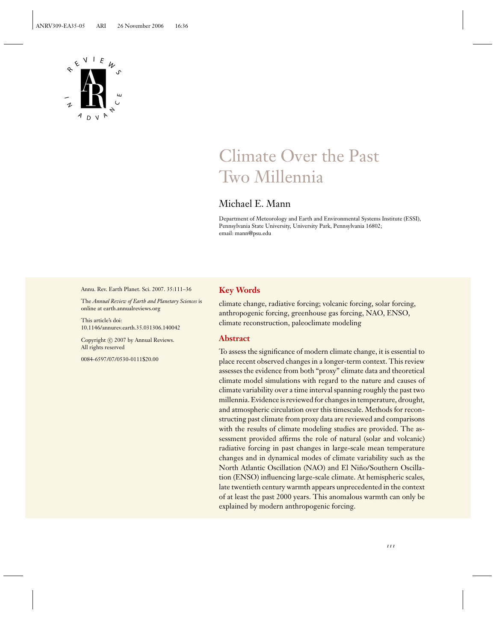

# Climate Over the Past Two Millennia

# Michael E. Mann

Department of Meteorology and Earth and Environmental Systems Institute (ESSI), Pennsylvania State University, University Park, Pennsylvania 16802; email: mann@psu.edu

Annu. Rev. Earth Planet. Sci. 2007. 35:111–36

The *Annual Review of Earth and Planetary Sciences* is online at earth.annualreviews.org

This article's doi: 10.1146/annurev.earth.35.031306.140042

Copyright  $\odot$  2007 by Annual Reviews. All rights reserved

0084-6597/07/0530-0111\$20.00

## **Key Words**

climate change, radiative forcing; volcanic forcing, solar forcing, anthropogenic forcing, greenhouse gas forcing, NAO, ENSO, climate reconstruction, paleoclimate modeling

## **Abstract**

To assess the significance of modern climate change, it is essential to place recent observed changes in a longer-term context. This review assesses the evidence from both "proxy" climate data and theoretical climate model simulations with regard to the nature and causes of climate variability over a time interval spanning roughly the past two millennia. Evidence is reviewed for changes in temperature, drought, and atmospheric circulation over this timescale. Methods for reconstructing past climate from proxy data are reviewed and comparisons with the results of climate modeling studies are provided. The assessment provided affirms the role of natural (solar and volcanic) radiative forcing in past changes in large-scale mean temperature changes and in dynamical modes of climate variability such as the North Atlantic Oscillation (NAO) and El Niño/Southern Oscillation (ENSO) influencing large-scale climate. At hemispheric scales, late twentieth century warmth appears unprecedented in the context of at least the past 2000 years. This anomalous warmth can only be explained by modern anthropogenic forcing.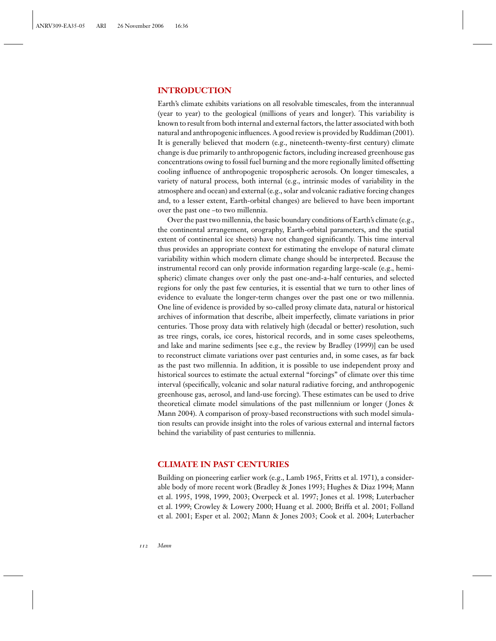## **INTRODUCTION**

Earth's climate exhibits variations on all resolvable timescales, from the interannual (year to year) to the geological (millions of years and longer). This variability is known to result from both internal and external factors, the latter associated with both natural and anthropogenic influences. A good review is provided by Ruddiman (2001). It is generally believed that modern (e.g., nineteenth-twenty-first century) climate change is due primarily to anthropogenic factors, including increased greenhouse gas concentrations owing to fossil fuel burning and the more regionally limited offsetting cooling influence of anthropogenic tropospheric aerosols. On longer timescales, a variety of natural process, both internal (e.g., intrinsic modes of variability in the atmosphere and ocean) and external (e.g., solar and volcanic radiative forcing changes and, to a lesser extent, Earth-orbital changes) are believed to have been important over the past one –to two millennia.

Over the past two millennia, the basic boundary conditions of Earth's climate (e.g., the continental arrangement, orography, Earth-orbital parameters, and the spatial extent of continental ice sheets) have not changed significantly. This time interval thus provides an appropriate context for estimating the envelope of natural climate variability within which modern climate change should be interpreted. Because the instrumental record can only provide information regarding large-scale (e.g., hemispheric) climate changes over only the past one-and-a-half centuries, and selected regions for only the past few centuries, it is essential that we turn to other lines of evidence to evaluate the longer-term changes over the past one or two millennia. One line of evidence is provided by so-called proxy climate data, natural or historical archives of information that describe, albeit imperfectly, climate variations in prior centuries. Those proxy data with relatively high (decadal or better) resolution, such as tree rings, corals, ice cores, historical records, and in some cases speleothems, and lake and marine sediments [see e.g., the review by Bradley (1999)] can be used to reconstruct climate variations over past centuries and, in some cases, as far back as the past two millennia. In addition, it is possible to use independent proxy and historical sources to estimate the actual external "forcings" of climate over this time interval (specifically, volcanic and solar natural radiative forcing, and anthropogenic greenhouse gas, aerosol, and land-use forcing). These estimates can be used to drive theoretical climate model simulations of the past millennium or longer ( Jones & Mann 2004). A comparison of proxy-based reconstructions with such model simulation results can provide insight into the roles of various external and internal factors behind the variability of past centuries to millennia.

## **CLIMATE IN PAST CENTURIES**

Building on pioneering earlier work (e.g., Lamb 1965, Fritts et al. 1971), a considerable body of more recent work (Bradley & Jones 1993; Hughes & Diaz 1994; Mann et al. 1995, 1998, 1999, 2003; Overpeck et al. 1997; Jones et al. 1998; Luterbacher et al. 1999; Crowley & Lowery 2000; Huang et al. 2000; Briffa et al. 2001; Folland et al. 2001; Esper et al. 2002; Mann & Jones 2003; Cook et al. 2004; Luterbacher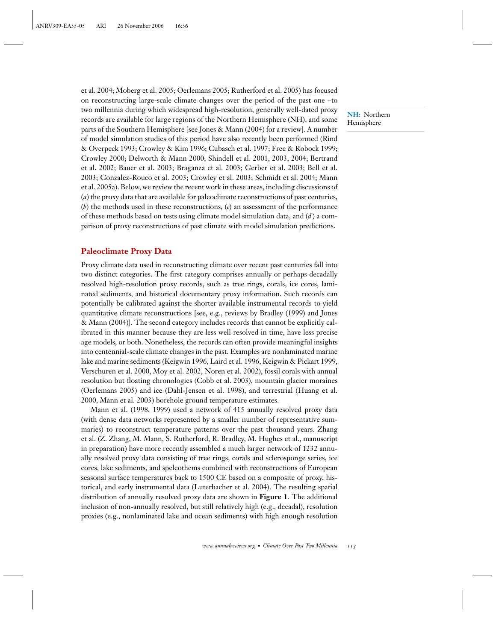et al. 2004; Moberg et al. 2005; Oerlemans 2005; Rutherford et al. 2005) has focused on reconstructing large-scale climate changes over the period of the past one –to two millennia during which widespread high-resolution, generally well-dated proxy records are available for large regions of the Northern Hemisphere (NH), and some parts of the Southern Hemisphere [see Jones & Mann (2004) for a review]. A number of model simulation studies of this period have also recently been performed (Rind & Overpeck 1993; Crowley & Kim 1996; Cubasch et al. 1997; Free & Robock 1999; Crowley 2000; Delworth & Mann 2000; Shindell et al. 2001, 2003, 2004; Bertrand et al. 2002; Bauer et al. 2003; Braganza et al. 2003; Gerber et al. 2003; Bell et al. 2003; Gonzalez-Rouco et al. 2003; Crowley et al. 2003; Schmidt et al. 2004; Mann et al. 2005a). Below, we review the recent work in these areas, including discussions of (*a*) the proxy data that are available for paleoclimate reconstructions of past centuries, (*b*) the methods used in these reconstructions, (*c*) an assessment of the performance of these methods based on tests using climate model simulation data, and (*d* ) a comparison of proxy reconstructions of past climate with model simulation predictions.

## **Paleoclimate Proxy Data**

Proxy climate data used in reconstructing climate over recent past centuries fall into two distinct categories. The first category comprises annually or perhaps decadally resolved high-resolution proxy records, such as tree rings, corals, ice cores, laminated sediments, and historical documentary proxy information. Such records can potentially be calibrated against the shorter available instrumental records to yield quantitative climate reconstructions [see, e.g., reviews by Bradley (1999) and Jones & Mann (2004)]. The second category includes records that cannot be explicitly calibrated in this manner because they are less well resolved in time, have less precise age models, or both. Nonetheless, the records can often provide meaningful insights into centennial-scale climate changes in the past. Examples are nonlaminated marine lake and marine sediments (Keigwin 1996, Laird et al. 1996, Keigwin & Pickart 1999, Verschuren et al. 2000, Moy et al. 2002, Noren et al. 2002), fossil corals with annual resolution but floating chronologies (Cobb et al. 2003), mountain glacier moraines (Oerlemans 2005) and ice (Dahl-Jensen et al. 1998), and terrestrial (Huang et al. 2000, Mann et al. 2003) borehole ground temperature estimates.

Mann et al. (1998, 1999) used a network of 415 annually resolved proxy data (with dense data networks represented by a smaller number of representative summaries) to reconstruct temperature patterns over the past thousand years. Zhang et al. (Z. Zhang, M. Mann, S. Rutherford, R. Bradley, M. Hughes et al., manuscript in preparation) have more recently assembled a much larger network of 1232 annually resolved proxy data consisting of tree rings, corals and sclerosponge series, ice cores, lake sediments, and speleothems combined with reconstructions of European seasonal surface temperatures back to 1500 CE based on a composite of proxy, historical, and early instrumental data (Luterbacher et al. 2004). The resulting spatial distribution of annually resolved proxy data are shown in **Figure 1**. The additional inclusion of non-annually resolved, but still relatively high (e.g., decadal), resolution proxies (e.g., nonlaminated lake and ocean sediments) with high enough resolution **NH:** Northern Hemisphere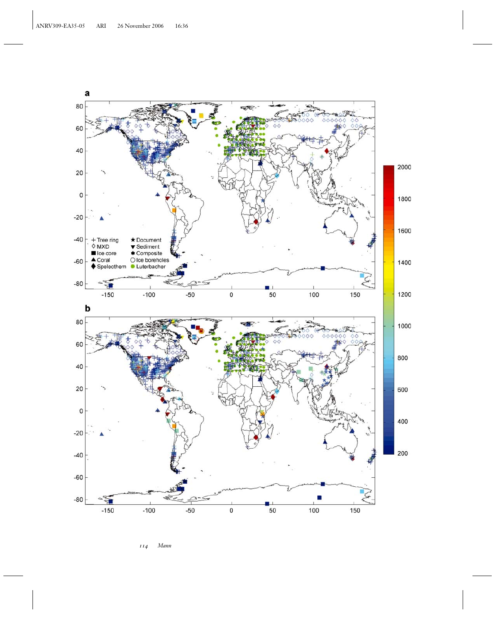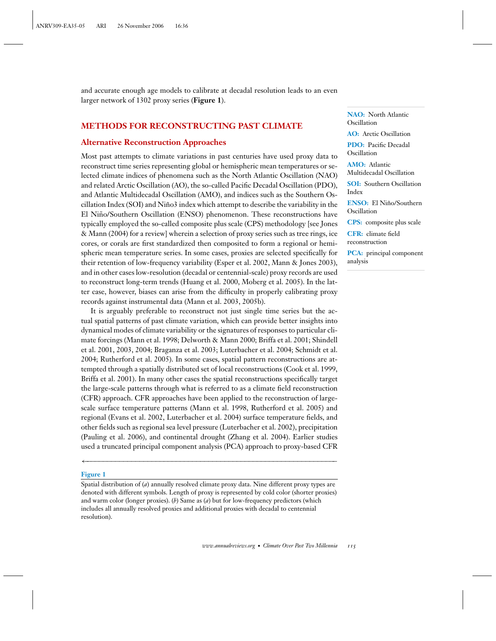and accurate enough age models to calibrate at decadal resolution leads to an even larger network of 1302 proxy series (**Figure 1**).

## **METHODS FOR RECONSTRUCTING PAST CLIMATE**

## **Alternative Reconstruction Approaches**

Most past attempts to climate variations in past centuries have used proxy data to reconstruct time series representing global or hemispheric mean temperatures or selected climate indices of phenomena such as the North Atlantic Oscillation (NAO) and related Arctic Oscillation (AO), the so-called Pacific Decadal Oscillation (PDO), and Atlantic Multidecadal Oscillation (AMO), and indices such as the Southern Oscillation Index (SOI) and Niño3 index which attempt to describe the variability in the El Niño/Southern Oscillation (ENSO) phenomenon. These reconstructions have typically employed the so-called composite plus scale (CPS) methodology [see Jones & Mann (2004) for a review] wherein a selection of proxy series such as tree rings, ice cores, or corals are first standardized then composited to form a regional or hemispheric mean temperature series. In some cases, proxies are selected specifically for their retention of low-frequency variability (Esper et al. 2002, Mann & Jones 2003), and in other cases low-resolution (decadal or centennial-scale) proxy records are used to reconstruct long-term trends (Huang et al. 2000, Moberg et al. 2005). In the latter case, however, biases can arise from the difficulty in properly calibrating proxy records against instrumental data (Mann et al. 2003, 2005b).

It is arguably preferable to reconstruct not just single time series but the actual spatial patterns of past climate variation, which can provide better insights into dynamical modes of climate variability or the signatures of responses to particular climate forcings (Mann et al. 1998; Delworth & Mann 2000; Briffa et al. 2001; Shindell et al. 2001, 2003, 2004; Braganza et al. 2003; Luterbacher et al. 2004; Schmidt et al. 2004; Rutherford et al. 2005). In some cases, spatial pattern reconstructions are attempted through a spatially distributed set of local reconstructions (Cook et al. 1999, Briffa et al. 2001). In many other cases the spatial reconstructions specifically target the large-scale patterns through what is referred to as a climate field reconstruction (CFR) approach. CFR approaches have been applied to the reconstruction of largescale surface temperature patterns (Mann et al. 1998, Rutherford et al. 2005) and regional (Evans et al. 2002, Luterbacher et al. 2004) surface temperature fields, and other fields such as regional sea level pressure (Luterbacher et al. 2002), precipitation (Pauling et al. 2006), and continental drought (Zhang et al. 2004). Earlier studies used a truncated principal component analysis (PCA) approach to proxy-based CFR

#### **Figure 1**

Spatial distribution of (*a*) annually resolved climate proxy data. Nine different proxy types are denoted with different symbols. Length of proxy is represented by cold color (shorter proxies) and warm color (longer proxies). (*b*) Same as (*a*) but for low-frequency predictors (which includes all annually resolved proxies and additional proxies with decadal to centennial resolution).

←−−−−−−−−−−−−−−−−−−−−−−−−−−−−−−−−−−−−−−−−−−−−−−−−−−−−−−−−−−−−−−

**NAO:** North Atlantic Oscillation

**AO:** Arctic Oscillation

**PDO:** Pacific Decadal Oscillation

**AMO:** Atlantic Multidecadal Oscillation

**SOI:** Southern Oscillation Index

**ENSO:** El Niño/Southern Oscillation

**CPS:** composite plus scale

**CFR:** climate field reconstruction

**PCA:** principal component analysis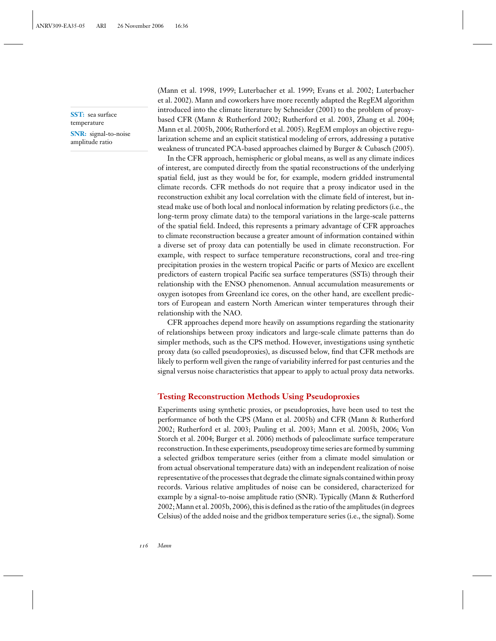**SST:** sea surface temperature

**SNR:** signal-to-noise amplitude ratio

(Mann et al. 1998, 1999; Luterbacher et al. 1999; Evans et al. 2002; Luterbacher et al. 2002). Mann and coworkers have more recently adapted the RegEM algorithm introduced into the climate literature by Schneider (2001) to the problem of proxybased CFR (Mann & Rutherford 2002; Rutherford et al. 2003, Zhang et al. 2004; Mann et al. 2005b, 2006; Rutherford et al. 2005). RegEM employs an objective regularization scheme and an explicit statistical modeling of errors, addressing a putative weakness of truncated PCA-based approaches claimed by Burger & Cubasch (2005).

In the CFR approach, hemispheric or global means, as well as any climate indices of interest, are computed directly from the spatial reconstructions of the underlying spatial field, just as they would be for, for example, modern gridded instrumental climate records. CFR methods do not require that a proxy indicator used in the reconstruction exhibit any local correlation with the climate field of interest, but instead make use of both local and nonlocal information by relating predictors (i.e., the long-term proxy climate data) to the temporal variations in the large-scale patterns of the spatial field. Indeed, this represents a primary advantage of CFR approaches to climate reconstruction because a greater amount of information contained within a diverse set of proxy data can potentially be used in climate reconstruction. For example, with respect to surface temperature reconstructions, coral and tree-ring precipitation proxies in the western tropical Pacific or parts of Mexico are excellent predictors of eastern tropical Pacific sea surface temperatures (SSTs) through their relationship with the ENSO phenomenon. Annual accumulation measurements or oxygen isotopes from Greenland ice cores, on the other hand, are excellent predictors of European and eastern North American winter temperatures through their relationship with the NAO.

CFR approaches depend more heavily on assumptions regarding the stationarity of relationships between proxy indicators and large-scale climate patterns than do simpler methods, such as the CPS method. However, investigations using synthetic proxy data (so called pseudoproxies), as discussed below, find that CFR methods are likely to perform well given the range of variability inferred for past centuries and the signal versus noise characteristics that appear to apply to actual proxy data networks.

## **Testing Reconstruction Methods Using Pseudoproxies**

Experiments using synthetic proxies, or pseudoproxies, have been used to test the performance of both the CPS (Mann et al. 2005b) and CFR (Mann & Rutherford 2002; Rutherford et al. 2003; Pauling et al. 2003; Mann et al. 2005b, 2006; Von Storch et al. 2004; Burger et al. 2006) methods of paleoclimate surface temperature reconstruction. In these experiments, pseudoproxy time series are formed by summing a selected gridbox temperature series (either from a climate model simulation or from actual observational temperature data) with an independent realization of noise representative of the processes that degrade the climate signals contained within proxy records. Various relative amplitudes of noise can be considered, characterized for example by a signal-to-noise amplitude ratio (SNR). Typically (Mann & Rutherford 2002; Mann et al. 2005b, 2006), this is defined as the ratio of the amplitudes (in degrees Celsius) of the added noise and the gridbox temperature series (i.e., the signal). Some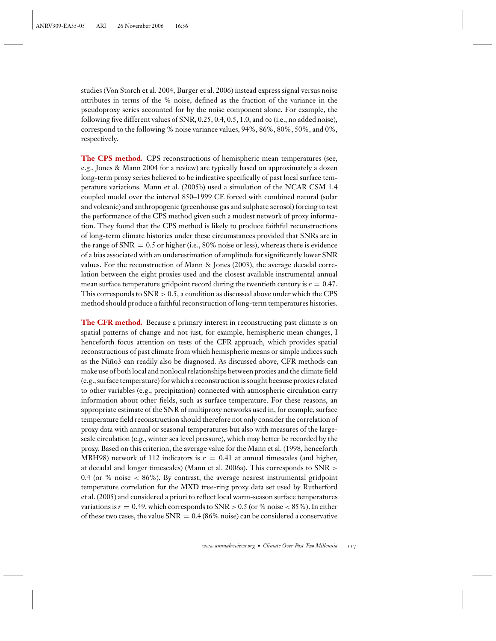studies (Von Storch et al. 2004, Burger et al. 2006) instead express signal versus noise attributes in terms of the % noise, defined as the fraction of the variance in the pseudoproxy series accounted for by the noise component alone. For example, the following five different values of SNR, 0.25, 0.4, 0.5, 1.0, and  $\infty$  (i.e., no added noise), correspond to the following % noise variance values, 94%, 86%, 80%, 50%, and 0%, respectively.

The CPS method. CPS reconstructions of hemispheric mean temperatures (see, e.g., Jones & Mann 2004 for a review) are typically based on approximately a dozen long-term proxy series believed to be indicative specifically of past local surface temperature variations. Mann et al. (2005b) used a simulation of the NCAR CSM 1.4 coupled model over the interval 850–1999 CE forced with combined natural (solar and volcanic) and anthropogenic (greenhouse gas and sulphate aerosol) forcing to test the performance of the CPS method given such a modest network of proxy information. They found that the CPS method is likely to produce faithful reconstructions of long-term climate histories under these circumstances provided that SNRs are in the range of  $SNR = 0.5$  or higher (i.e., 80% noise or less), whereas there is evidence of a bias associated with an underestimation of amplitude for significantly lower SNR values. For the reconstruction of Mann & Jones (2003), the average decadal correlation between the eight proxies used and the closest available instrumental annual mean surface temperature gridpoint record during the twentieth century is  $r = 0.47$ . This corresponds to SNR > 0.5, a condition as discussed above under which the CPS method should produce a faithful reconstruction of long-term temperatures histories.

**The CFR method.** Because a primary interest in reconstructing past climate is on spatial patterns of change and not just, for example, hemispheric mean changes, I henceforth focus attention on tests of the CFR approach, which provides spatial reconstructions of past climate from which hemispheric means or simple indices such as the Niño3 can readily also be diagnosed. As discussed above, CFR methods can make use of both local and nonlocal relationships between proxies and the climate field (e.g., surface temperature) for which a reconstruction is sought because proxies related to other variables (e.g., precipitation) connected with atmospheric circulation carry information about other fields, such as surface temperature. For these reasons, an appropriate estimate of the SNR of multiproxy networks used in, for example, surface temperature field reconstruction should therefore not only consider the correlation of proxy data with annual or seasonal temperatures but also with measures of the largescale circulation (e.g., winter sea level pressure), which may better be recorded by the proxy. Based on this criterion, the average value for the Mann et al. (1998, henceforth MBH98) network of 112 indicators is  $r = 0.41$  at annual timescales (and higher, at decadal and longer timescales) (Mann et al. 2006a). This corresponds to SNR > 0.4 (or  $%$  noise  $< 86\%$ ). By contrast, the average nearest instrumental gridpoint temperature correlation for the MXD tree-ring proxy data set used by Rutherford et al. (2005) and considered a priori to reflect local warm-season surface temperatures variations is  $r = 0.49$ , which corresponds to SNR  $> 0.5$  (or % noise < 85%). In either of these two cases, the value  $SNR = 0.4$  (86% noise) can be considered a conservative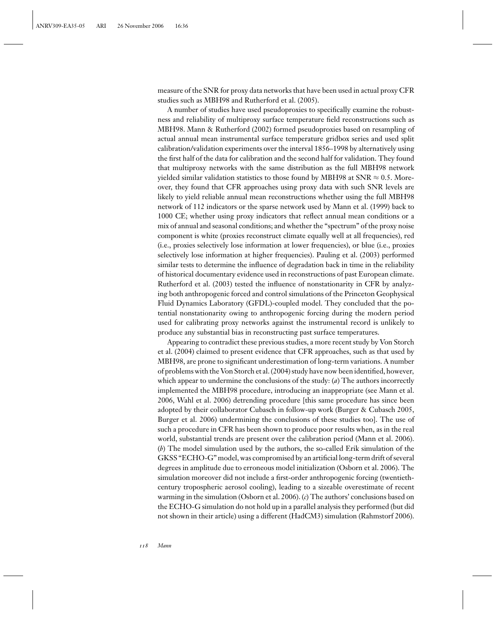measure of the SNR for proxy data networks that have been used in actual proxy CFR studies such as MBH98 and Rutherford et al. (2005).

A number of studies have used pseudoproxies to specifically examine the robustness and reliability of multiproxy surface temperature field reconstructions such as MBH98. Mann & Rutherford (2002) formed pseudoproxies based on resampling of actual annual mean instrumental surface temperature gridbox series and used split calibration/validation experiments over the interval 1856–1998 by alternatively using the first half of the data for calibration and the second half for validation. They found that multiproxy networks with the same distribution as the full MBH98 network yielded similar validation statistics to those found by MBH98 at SNR  $\approx 0.5$ . Moreover, they found that CFR approaches using proxy data with such SNR levels are likely to yield reliable annual mean reconstructions whether using the full MBH98 network of 112 indicators or the sparse network used by Mann et al. (1999) back to 1000 CE; whether using proxy indicators that reflect annual mean conditions or a mix of annual and seasonal conditions; and whether the "spectrum" of the proxy noise component is white (proxies reconstruct climate equally well at all frequencies), red (i.e., proxies selectively lose information at lower frequencies), or blue (i.e., proxies selectively lose information at higher frequencies). Pauling et al. (2003) performed similar tests to determine the influence of degradation back in time in the reliability of historical documentary evidence used in reconstructions of past European climate. Rutherford et al. (2003) tested the influence of nonstationarity in CFR by analyzing both anthropogenic forced and control simulations of the Princeton Geophysical Fluid Dynamics Laboratory (GFDL)-coupled model. They concluded that the potential nonstationarity owing to anthropogenic forcing during the modern period used for calibrating proxy networks against the instrumental record is unlikely to produce any substantial bias in reconstructing past surface temperatures.

Appearing to contradict these previous studies, a more recent study by Von Storch et al. (2004) claimed to present evidence that CFR approaches, such as that used by MBH98, are prone to significant underestimation of long-term variations. A number of problems with the Von Storch et al. (2004) study have now been identified, however*,* which appear to undermine the conclusions of the study: (*a*) The authors incorrectly implemented the MBH98 procedure, introducing an inappropriate (see Mann et al. 2006, Wahl et al. 2006) detrending procedure [this same procedure has since been adopted by their collaborator Cubasch in follow-up work (Burger & Cubasch 2005, Burger et al. 2006) undermining the conclusions of these studies too]. The use of such a procedure in CFR has been shown to produce poor results when, as in the real world, substantial trends are present over the calibration period (Mann et al. 2006). (*b*) The model simulation used by the authors, the so-called Erik simulation of the GKSS "ECHO-G" model, was compromised by an artificial long-term drift of several degrees in amplitude due to erroneous model initialization (Osborn et al. 2006). The simulation moreover did not include a first-order anthropogenic forcing (twentiethcentury tropospheric aerosol cooling), leading to a sizeable overestimate of recent warming in the simulation (Osborn et al. 2006). (*c*) The authors' conclusions based on the ECHO-G simulation do not hold up in a parallel analysis they performed (but did not shown in their article) using a different (HadCM3) simulation (Rahmstorf 2006).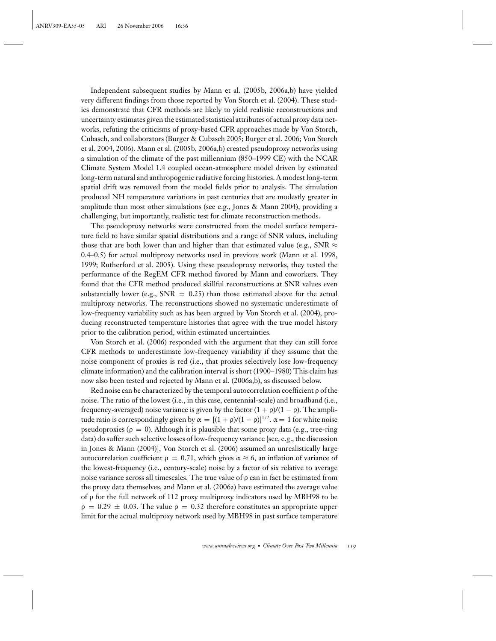Independent subsequent studies by Mann et al. (2005b, 2006a,b) have yielded very different findings from those reported by Von Storch et al. (2004). These studies demonstrate that CFR methods are likely to yield realistic reconstructions and uncertainty estimates given the estimated statistical attributes of actual proxy data networks, refuting the criticisms of proxy-based CFR approaches made by Von Storch, Cubasch, and collaborators (Burger & Cubasch 2005; Burger et al. 2006; Von Storch et al. 2004, 2006). Mann et al. (2005b, 2006a,b) created pseudoproxy networks using a simulation of the climate of the past millennium (850–1999 CE) with the NCAR Climate System Model 1.4 coupled ocean-atmosphere model driven by estimated long-term natural and anthropogenic radiative forcing histories. A modest long-term spatial drift was removed from the model fields prior to analysis. The simulation produced NH temperature variations in past centuries that are modestly greater in amplitude than most other simulations (see e.g., Jones & Mann 2004), providing a challenging, but importantly, realistic test for climate reconstruction methods.

The pseudoproxy networks were constructed from the model surface temperature field to have similar spatial distributions and a range of SNR values, including those that are both lower than and higher than that estimated value (e.g., SNR  $\approx$ 0.4–0.5) for actual multiproxy networks used in previous work (Mann et al. 1998, 1999; Rutherford et al. 2005). Using these pseudoproxy networks, they tested the performance of the RegEM CFR method favored by Mann and coworkers. They found that the CFR method produced skillful reconstructions at SNR values even substantially lower (e.g.,  $SNR = 0.25$ ) than those estimated above for the actual multiproxy networks. The reconstructions showed no systematic underestimate of low-frequency variability such as has been argued by Von Storch et al. (2004), producing reconstructed temperature histories that agree with the true model history prior to the calibration period, within estimated uncertainties.

Von Storch et al. (2006) responded with the argument that they can still force CFR methods to underestimate low-frequency variability if they assume that the noise component of proxies is red (i.e., that proxies selectively lose low-frequency climate information) and the calibration interval is short (1900–1980) This claim has now also been tested and rejected by Mann et al. (2006a,b), as discussed below.

Red noise can be characterized by the temporal autocorrelation coefficient ρ of the noise. The ratio of the lowest (i.e., in this case, centennial-scale) and broadband (i.e., frequency-averaged) noise variance is given by the factor  $(1 + \rho)/(1 - \rho)$ . The amplitude ratio is correspondingly given by  $\alpha = [(1 + \rho)/(1 - \rho)]^{1/2}$ .  $\alpha = 1$  for white noise pseudoproxies ( $\rho = 0$ ). Although it is plausible that some proxy data (e.g., tree-ring data) do suffer such selective losses of low-frequency variance [see, e.g., the discussion in Jones & Mann (2004)], Von Storch et al. (2006) assumed an unrealistically large autocorrelation coefficient  $ρ = 0.71$ , which gives  $α ≈ 6$ , an inflation of variance of the lowest-frequency (i.e., century-scale) noise by a factor of six relative to average noise variance across all timescales. The true value of  $\rho$  can in fact be estimated from the proxy data themselves, and Mann et al. (2006a) have estimated the average value of ρ for the full network of 112 proxy multiproxy indicators used by MBH98 to be  $\rho = 0.29 \pm 0.03$ . The value  $\rho = 0.32$  therefore constitutes an appropriate upper limit for the actual multiproxy network used by MBH98 in past surface temperature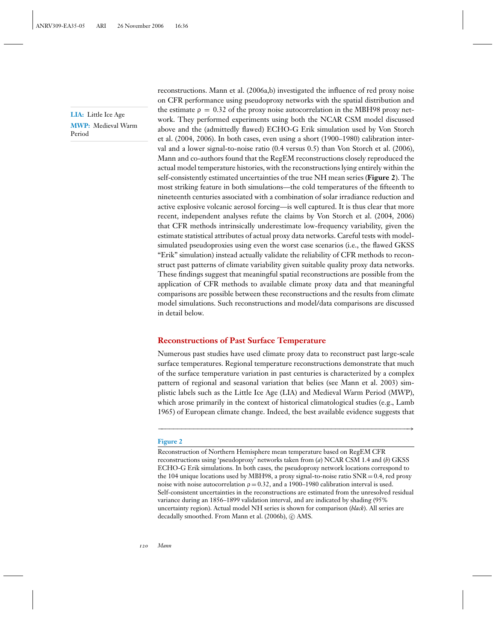**LIA:** Little Ice Age **MWP:** Medieval Warm Period

reconstructions. Mann et al. (2006a,b) investigated the influence of red proxy noise on CFR performance using pseudoproxy networks with the spatial distribution and the estimate  $\rho = 0.32$  of the proxy noise autocorrelation in the MBH98 proxy network. They performed experiments using both the NCAR CSM model discussed above and the (admittedly flawed) ECHO-G Erik simulation used by Von Storch et al. (2004, 2006). In both cases, even using a short (1900–1980) calibration interval and a lower signal-to-noise ratio (0.4 versus 0.5) than Von Storch et al. (2006), Mann and co-authors found that the RegEM reconstructions closely reproduced the actual model temperature histories, with the reconstructions lying entirely within the self-consistently estimated uncertainties of the true NH mean series (**Figure 2**). The most striking feature in both simulations—the cold temperatures of the fifteenth to nineteenth centuries associated with a combination of solar irradiance reduction and active explosive volcanic aerosol forcing—is well captured. It is thus clear that more recent, independent analyses refute the claims by Von Storch et al. (2004, 2006) that CFR methods intrinsically underestimate low-frequency variability, given the estimate statistical attributes of actual proxy data networks. Careful tests with modelsimulated pseudoproxies using even the worst case scenarios (i.e., the flawed GKSS "Erik" simulation) instead actually validate the reliability of CFR methods to reconstruct past patterns of climate variability given suitable quality proxy data networks. These findings suggest that meaningful spatial reconstructions are possible from the application of CFR methods to available climate proxy data and that meaningful comparisons are possible between these reconstructions and the results from climate model simulations. Such reconstructions and model/data comparisons are discussed in detail below.

## **Reconstructions of Past Surface Temperature**

Numerous past studies have used climate proxy data to reconstruct past large-scale surface temperatures. Regional temperature reconstructions demonstrate that much of the surface temperature variation in past centuries is characterized by a complex pattern of regional and seasonal variation that belies (see Mann et al. 2003) simplistic labels such as the Little Ice Age (LIA) and Medieval Warm Period (MWP), which arose primarily in the context of historical climatological studies (e.g., Lamb 1965) of European climate change. Indeed, the best available evidence suggests that

−−−−−−−−−−−−−−−−−−−−−−−−−−−−−−−−−−−−−−−−−−−−−−−−−−−−−−−−−−−−−−→

#### **Figure 2**

Reconstruction of Northern Hemisphere mean temperature based on RegEM CFR reconstructions using 'pseudoproxy' networks taken from (*a*) NCAR CSM 1.4 and (*b*) GKSS ECHO-G Erik simulations. In both cases, the pseudoproxy network locations correspond to the 104 unique locations used by MBH98, a proxy signal-to-noise ratio  $SNR = 0.4$ , red proxy noise with noise autocorrelation  $\rho = 0.32$ , and a 1900–1980 calibration interval is used. Self-consistent uncertainties in the reconstructions are estimated from the unresolved residual variance during an 1856–1899 validation interval, and are indicated by shading (95% uncertainty region). Actual model NH series is shown for comparison (*black*). All series are decadally smoothed. From Mann et al. (2006b),  $\odot$  AMS.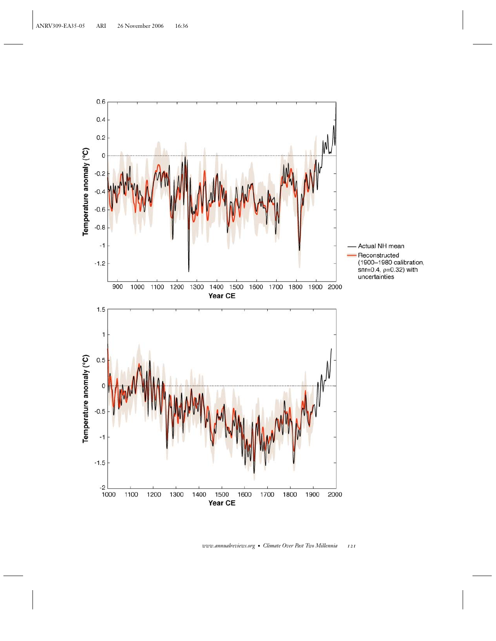

*www.annualreviews.org* • *Climate Over Past Two Millennia 121*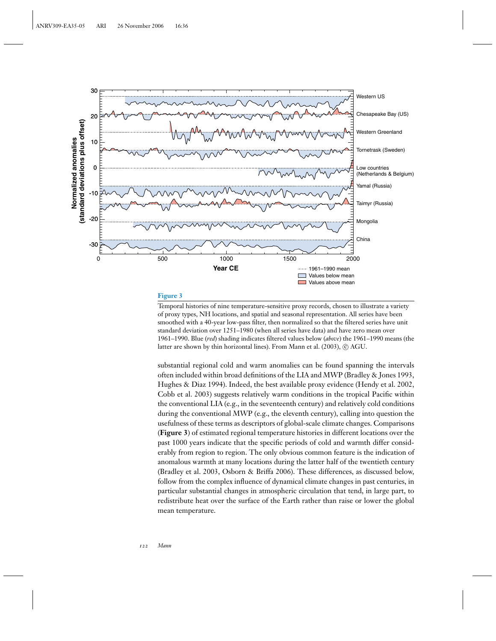

#### **Figure 3**

Temporal histories of nine temperature-sensitive proxy records, chosen to illustrate a variety of proxy types, NH locations, and spatial and seasonal representation. All series have been smoothed with a 40-year low-pass filter, then normalized so that the filtered series have unit standard deviation over 1251–1980 (when all series have data) and have zero mean over 1961–1990. Blue (*red*) shading indicates filtered values below (*above*) the 1961–1990 means (the latter are shown by thin horizontal lines). From Mann et al.  $(2003)$ ,  $\odot$  AGU.

substantial regional cold and warm anomalies can be found spanning the intervals often included within broad definitions of the LIA and MWP (Bradley & Jones 1993, Hughes & Diaz 1994). Indeed, the best available proxy evidence (Hendy et al. 2002, Cobb et al. 2003) suggests relatively warm conditions in the tropical Pacific within the conventional LIA (e.g., in the seventeenth century) and relatively cold conditions during the conventional MWP (e.g., the eleventh century), calling into question the usefulness of these terms as descriptors of global-scale climate changes. Comparisons (**Figure 3**) of estimated regional temperature histories in different locations over the past 1000 years indicate that the specific periods of cold and warmth differ considerably from region to region. The only obvious common feature is the indication of anomalous warmth at many locations during the latter half of the twentieth century (Bradley et al. 2003, Osborn & Briffa 2006). These differences, as discussed below, follow from the complex influence of dynamical climate changes in past centuries, in particular substantial changes in atmospheric circulation that tend, in large part, to redistribute heat over the surface of the Earth rather than raise or lower the global mean temperature.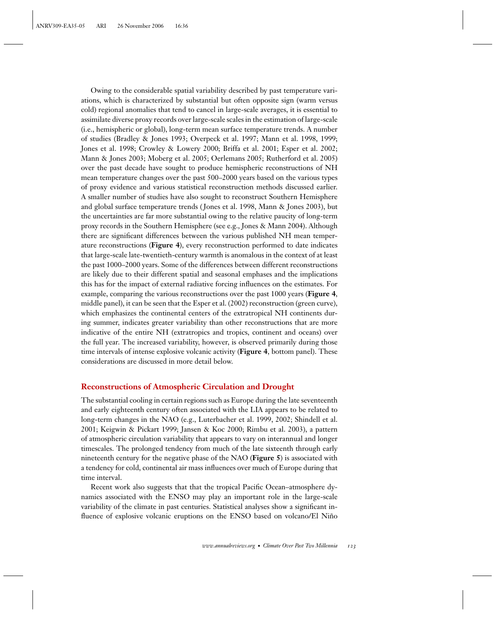Owing to the considerable spatial variability described by past temperature variations, which is characterized by substantial but often opposite sign (warm versus cold) regional anomalies that tend to cancel in large-scale averages, it is essential to assimilate diverse proxy records over large-scale scales in the estimation of large-scale (i.e., hemispheric or global), long-term mean surface temperature trends. A number of studies (Bradley & Jones 1993; Overpeck et al. 1997; Mann et al. 1998, 1999; Jones et al. 1998; Crowley & Lowery 2000; Briffa et al. 2001; Esper et al. 2002; Mann & Jones 2003; Moberg et al. 2005; Oerlemans 2005; Rutherford et al. 2005) over the past decade have sought to produce hemispheric reconstructions of NH mean temperature changes over the past 500–2000 years based on the various types of proxy evidence and various statistical reconstruction methods discussed earlier. A smaller number of studies have also sought to reconstruct Southern Hemisphere and global surface temperature trends ( Jones et al. 1998, Mann & Jones 2003), but the uncertainties are far more substantial owing to the relative paucity of long-term proxy records in the Southern Hemisphere (see e.g., Jones & Mann 2004). Although there are significant differences between the various published NH mean temperature reconstructions (**Figure 4**), every reconstruction performed to date indicates that large-scale late-twentieth-century warmth is anomalous in the context of at least the past 1000–2000 years. Some of the differences between different reconstructions are likely due to their different spatial and seasonal emphases and the implications this has for the impact of external radiative forcing influences on the estimates. For example, comparing the various reconstructions over the past 1000 years (**Figure 4**, middle panel), it can be seen that the Esper et al. (2002) reconstruction (green curve), which emphasizes the continental centers of the extratropical NH continents during summer, indicates greater variability than other reconstructions that are more indicative of the entire NH (extratropics and tropics, continent and oceans) over the full year. The increased variability, however, is observed primarily during those time intervals of intense explosive volcanic activity (**Figure 4**, bottom panel). These considerations are discussed in more detail below.

## **Reconstructions of Atmospheric Circulation and Drought**

The substantial cooling in certain regions such as Europe during the late seventeenth and early eighteenth century often associated with the LIA appears to be related to long-term changes in the NAO (e.g., Luterbacher et al. 1999, 2002; Shindell et al. 2001; Keigwin & Pickart 1999; Jansen & Koc 2000; Rimbu et al. 2003), a pattern of atmospheric circulation variability that appears to vary on interannual and longer timescales. The prolonged tendency from much of the late sixteenth through early nineteenth century for the negative phase of the NAO (**Figure 5**) is associated with a tendency for cold, continental air mass influences over much of Europe during that time interval.

Recent work also suggests that that the tropical Pacific Ocean–atmosphere dynamics associated with the ENSO may play an important role in the large-scale variability of the climate in past centuries. Statistical analyses show a significant influence of explosive volcanic eruptions on the ENSO based on volcano/El Niño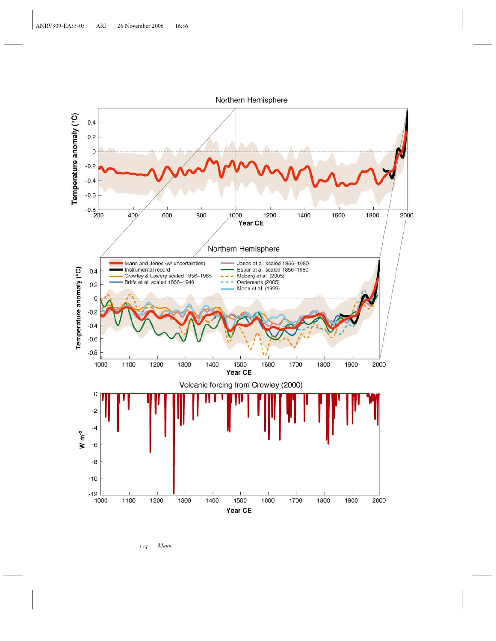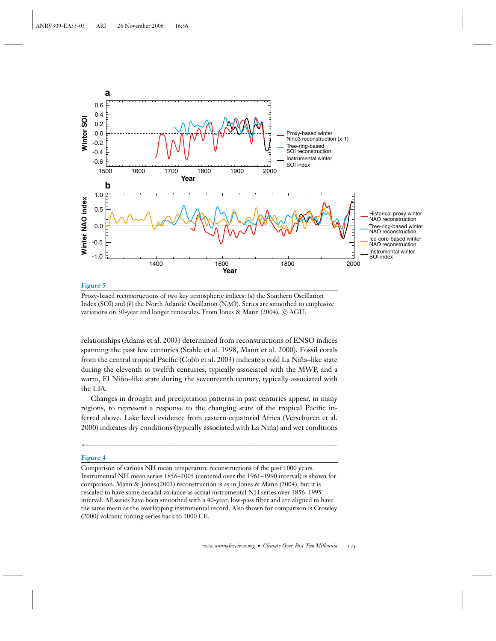

Proxy-based reconstructions of two key atmospheric indices: (*a*) the Southern Oscillation Index (SOI) and (*b*) the North Atlantic Oscillation (NAO). Series are smoothed to emphasize variations on 30-year and longer timescales. From Jones & Mann (2004),  $\odot$  AGU.

relationships (Adams et al. 2003) determined from reconstructions of ENSO indices spanning the past few centuries (Stahle et al. 1998, Mann et al. 2000). Fossil corals from the central tropical Pacific (Cobb et al. 2003) indicate a cold La Niña-like state during the eleventh to twelfth centuries, typically associated with the MWP, and a warm, El Niño-like state during the seventeenth century, typically associated with the LIA.

Changes in drought and precipitation patterns in past centuries appear, in many regions, to represent a response to the changing state of the tropical Pacific inferred above. Lake level evidence from eastern equatorial Africa (Verschuren et al. 2000) indicates dry conditions (typically associated with La Niña) and wet conditions

←−−−−−−−−−−−−−−−−−−−−−−−−−−−−−−−−−−−−−−−−−−−−−−−−−−−−−−−−−−−−−−

#### **Figure 4**

Comparison of various NH mean temperature reconstructions of the past 1000 years. Instrumental NH mean series 1856–2005 (centered over the 1961–1990 interval) is shown for comparison. Mann & Jones (2003) reconstruction is as in Jones & Mann (2004), but it is rescaled to have same decadal variance as actual instrumental NH series over 1856–1995 interval. All series have been smoothed with a 40-year, low-pass filter and are aligned to have the same mean as the overlapping instrumental record. Also shown for comparison is Crowley (2000) volcanic forcing series back to 1000 CE.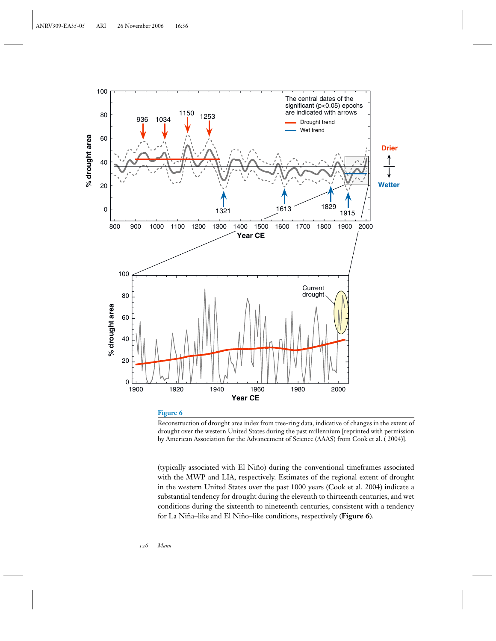

Reconstruction of drought area index from tree-ring data, indicative of changes in the extent of drought over the western United States during the past millennium [reprinted with permission by American Association for the Advancement of Science (AAAS) from Cook et al. ( 2004)].

(typically associated with El Niño) during the conventional timeframes associated with the MWP and LIA, respectively. Estimates of the regional extent of drought in the western United States over the past 1000 years (Cook et al. 2004) indicate a substantial tendency for drought during the eleventh to thirteenth centuries, and wet conditions during the sixteenth to nineteenth centuries, consistent with a tendency for La Niña-like and El Niño-like conditions, respectively (Figure 6).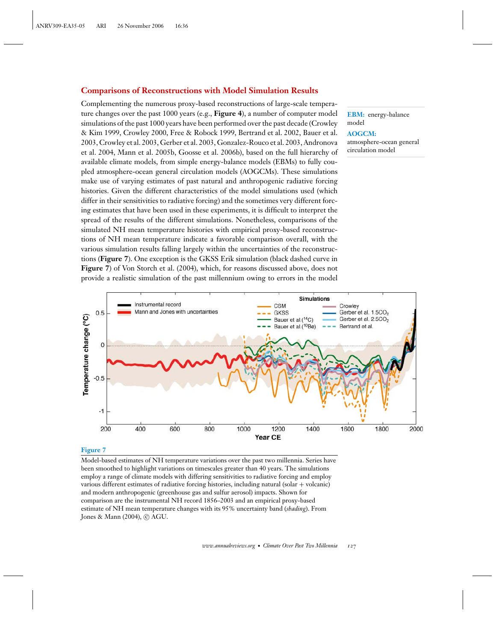## **Comparisons of Reconstructions with Model Simulation Results**

Complementing the numerous proxy-based reconstructions of large-scale temperature changes over the past 1000 years (e.g., **Figure 4**), a number of computer model simulations of the past 1000 years have been performed over the past decade (Crowley & Kim 1999, Crowley 2000, Free & Robock 1999, Bertrand et al. 2002, Bauer et al. 2003, Crowley et al. 2003, Gerber et al. 2003, Gonzalez-Rouco et al. 2003, Andronova et al. 2004, Mann et al. 2005b, Goosse et al. 2006b), based on the full hierarchy of available climate models, from simple energy-balance models (EBMs) to fully coupled atmosphere-ocean general circulation models (AOGCMs). These simulations make use of varying estimates of past natural and anthropogenic radiative forcing histories. Given the different characteristics of the model simulations used (which differ in their sensitivities to radiative forcing) and the sometimes very different forcing estimates that have been used in these experiments, it is difficult to interpret the spread of the results of the different simulations. Nonetheless, comparisons of the simulated NH mean temperature histories with empirical proxy-based reconstructions of NH mean temperature indicate a favorable comparison overall, with the various simulation results falling largely within the uncertainties of the reconstructions (**Figure 7**). One exception is the GKSS Erik simulation (black dashed curve in **Figure 7**) of Von Storch et al. (2004), which, for reasons discussed above, does not provide a realistic simulation of the past millennium owing to errors in the model

**EBM:** energy-balance model **AOGCM:** atmosphere-ocean general circulation model



## **Figure 7**

Model-based estimates of NH temperature variations over the past two millennia. Series have been smoothed to highlight variations on timescales greater than 40 years. The simulations employ a range of climate models with differing sensitivities to radiative forcing and employ various different estimates of radiative forcing histories, including natural (solar + volcanic) and modern anthropogenic (greenhouse gas and sulfur aerosol) impacts. Shown for comparison are the instrumental NH record 1856–2003 and an empirical proxy-based estimate of NH mean temperature changes with its 95% uncertainty band (*shading*). From Jones & Mann (2004),  $\odot$  AGU.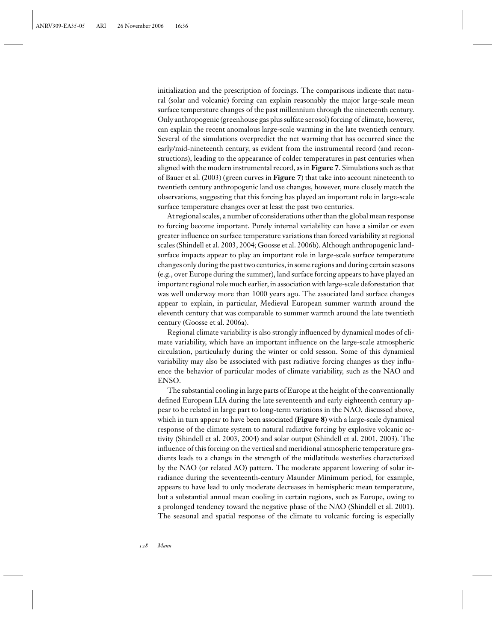initialization and the prescription of forcings. The comparisons indicate that natural (solar and volcanic) forcing can explain reasonably the major large-scale mean surface temperature changes of the past millennium through the nineteenth century. Only anthropogenic (greenhouse gas plus sulfate aerosol) forcing of climate, however, can explain the recent anomalous large-scale warming in the late twentieth century. Several of the simulations overpredict the net warming that has occurred since the early/mid-nineteenth century, as evident from the instrumental record (and reconstructions), leading to the appearance of colder temperatures in past centuries when aligned with the modern instrumental record, as in **Figure 7**. Simulations such as that of Bauer et al. (2003) (green curves in **Figure 7**) that take into account nineteenth to twentieth century anthropogenic land use changes, however, more closely match the observations, suggesting that this forcing has played an important role in large-scale surface temperature changes over at least the past two centuries.

At regional scales, a number of considerations other than the global mean response to forcing become important. Purely internal variability can have a similar or even greater influence on surface temperature variations than forced variability at regional scales (Shindell et al. 2003, 2004; Goosse et al. 2006b). Although anthropogenic landsurface impacts appear to play an important role in large-scale surface temperature changes only during the past two centuries, in some regions and during certain seasons (e.g., over Europe during the summer), land surface forcing appears to have played an important regional role much earlier, in association with large-scale deforestation that was well underway more than 1000 years ago. The associated land surface changes appear to explain, in particular, Medieval European summer warmth around the eleventh century that was comparable to summer warmth around the late twentieth century (Goosse et al. 2006a).

Regional climate variability is also strongly influenced by dynamical modes of climate variability, which have an important influence on the large-scale atmospheric circulation, particularly during the winter or cold season. Some of this dynamical variability may also be associated with past radiative forcing changes as they influence the behavior of particular modes of climate variability, such as the NAO and ENSO.

The substantial cooling in large parts of Europe at the height of the conventionally defined European LIA during the late seventeenth and early eighteenth century appear to be related in large part to long-term variations in the NAO, discussed above, which in turn appear to have been associated (**Figure 8**) with a large-scale dynamical response of the climate system to natural radiative forcing by explosive volcanic activity (Shindell et al. 2003, 2004) and solar output (Shindell et al. 2001, 2003). The influence of this forcing on the vertical and meridional atmospheric temperature gradients leads to a change in the strength of the midlatitude westerlies characterized by the NAO (or related AO) pattern. The moderate apparent lowering of solar irradiance during the seventeenth-century Maunder Minimum period, for example, appears to have lead to only moderate decreases in hemispheric mean temperature, but a substantial annual mean cooling in certain regions, such as Europe, owing to a prolonged tendency toward the negative phase of the NAO (Shindell et al. 2001). The seasonal and spatial response of the climate to volcanic forcing is especially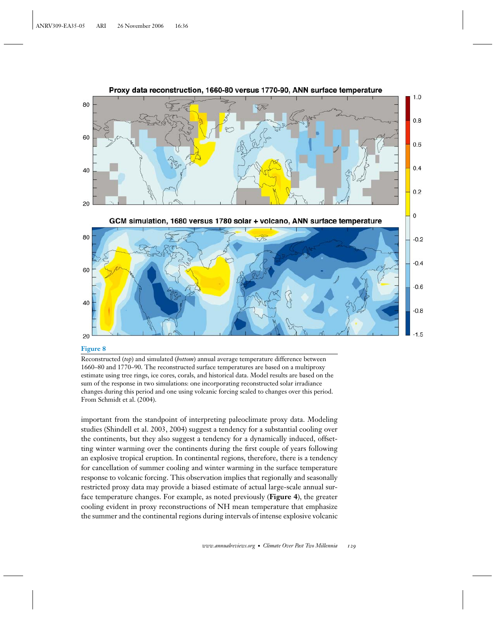

## Proxy data reconstruction, 1660-80 versus 1770-90, ANN surface temperature

## **Figure 8**

Reconstructed (*top*) and simulated (*bottom*) annual average temperature difference between 1660–80 and 1770–90. The reconstructed surface temperatures are based on a multiproxy estimate using tree rings, ice cores, corals, and historical data. Model results are based on the sum of the response in two simulations: one incorporating reconstructed solar irradiance changes during this period and one using volcanic forcing scaled to changes over this period. From Schmidt et al. (2004).

important from the standpoint of interpreting paleoclimate proxy data. Modeling studies (Shindell et al. 2003, 2004) suggest a tendency for a substantial cooling over the continents, but they also suggest a tendency for a dynamically induced, offsetting winter warming over the continents during the first couple of years following an explosive tropical eruption. In continental regions, therefore, there is a tendency for cancellation of summer cooling and winter warming in the surface temperature response to volcanic forcing. This observation implies that regionally and seasonally restricted proxy data may provide a biased estimate of actual large-scale annual surface temperature changes. For example, as noted previously (**Figure 4**), the greater cooling evident in proxy reconstructions of NH mean temperature that emphasize the summer and the continental regions during intervals of intense explosive volcanic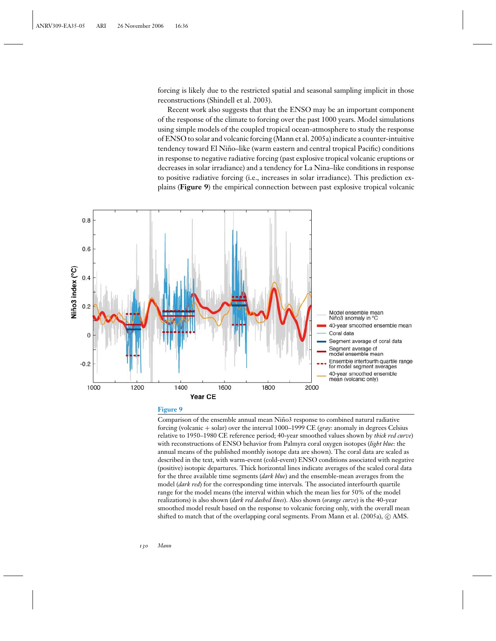forcing is likely due to the restricted spatial and seasonal sampling implicit in those reconstructions (Shindell et al. 2003).

Recent work also suggests that that the ENSO may be an important component of the response of the climate to forcing over the past 1000 years. Model simulations using simple models of the coupled tropical ocean-atmosphere to study the response of ENSO to solar and volcanic forcing (Mann et al. 2005a) indicate a counter-intuitive tendency toward El Niño-like (warm eastern and central tropical Pacific) conditions in response to negative radiative forcing (past explosive tropical volcanic eruptions or decreases in solar irradiance) and a tendency for La Nina–like conditions in response to positive radiative forcing (i.e., increases in solar irradiance). This prediction explains (**Figure 9**) the empirical connection between past explosive tropical volcanic



## **Figure 9**

Comparison of the ensemble annual mean Niño3 response to combined natural radiative forcing (volcanic + solar) over the interval 1000–1999 CE (*gray*: anomaly in degrees Celsius relative to 1950–1980 CE reference period; 40-year smoothed values shown by *thick red curve*) with reconstructions of ENSO behavior from Palmyra coral oxygen isotopes (*light blue*: the annual means of the published monthly isotope data are shown). The coral data are scaled as described in the text, with warm-event (cold-event) ENSO conditions associated with negative (positive) isotopic departures. Thick horizontal lines indicate averages of the scaled coral data for the three available time segments (*dark blue*) and the ensemble-mean averages from the model (*dark red*) for the corresponding time intervals. The associated interfourth quartile range for the model means (the interval within which the mean lies for 50% of the model realizations) is also shown (*dark red dashed lines*). Also shown (*orange curve*) is the 40-year smoothed model result based on the response to volcanic forcing only, with the overall mean shifted to match that of the overlapping coral segments. From Mann et al.  $(2005a)$ ,  $\odot$  AMS.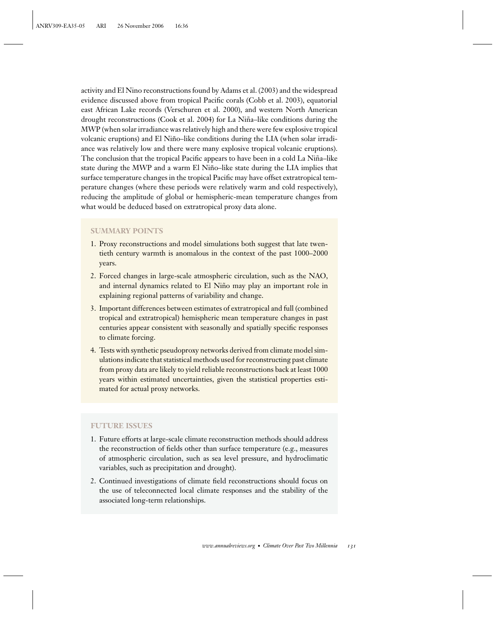activity and El Nino reconstructions found by Adams et al. (2003) and the widespread evidence discussed above from tropical Pacific corals (Cobb et al. 2003), equatorial east African Lake records (Verschuren et al. 2000), and western North American drought reconstructions (Cook et al. 2004) for La Niña-like conditions during the MWP (when solar irradiance was relatively high and there were few explosive tropical volcanic eruptions) and El Niño–like conditions during the LIA (when solar irradiance was relatively low and there were many explosive tropical volcanic eruptions). The conclusion that the tropical Pacific appears to have been in a cold La Niña-like state during the MWP and a warm El Niño–like state during the LIA implies that surface temperature changes in the tropical Pacific may have offset extratropical temperature changes (where these periods were relatively warm and cold respectively), reducing the amplitude of global or hemispheric-mean temperature changes from what would be deduced based on extratropical proxy data alone.

## **SUMMARY POINTS**

- 1. Proxy reconstructions and model simulations both suggest that late twentieth century warmth is anomalous in the context of the past 1000–2000 years.
- 2. Forced changes in large-scale atmospheric circulation, such as the NAO, and internal dynamics related to El Niño may play an important role in explaining regional patterns of variability and change.
- 3. Important differences between estimates of extratropical and full (combined tropical and extratropical) hemispheric mean temperature changes in past centuries appear consistent with seasonally and spatially specific responses to climate forcing.
- 4. Tests with synthetic pseudoproxy networks derived from climate model simulations indicate that statistical methods used for reconstructing past climate from proxy data are likely to yield reliable reconstructions back at least 1000 years within estimated uncertainties, given the statistical properties estimated for actual proxy networks.

## **FUTURE ISSUES**

- 1. Future efforts at large-scale climate reconstruction methods should address the reconstruction of fields other than surface temperature (e.g., measures of atmospheric circulation, such as sea level pressure, and hydroclimatic variables, such as precipitation and drought).
- 2. Continued investigations of climate field reconstructions should focus on the use of teleconnected local climate responses and the stability of the associated long-term relationships.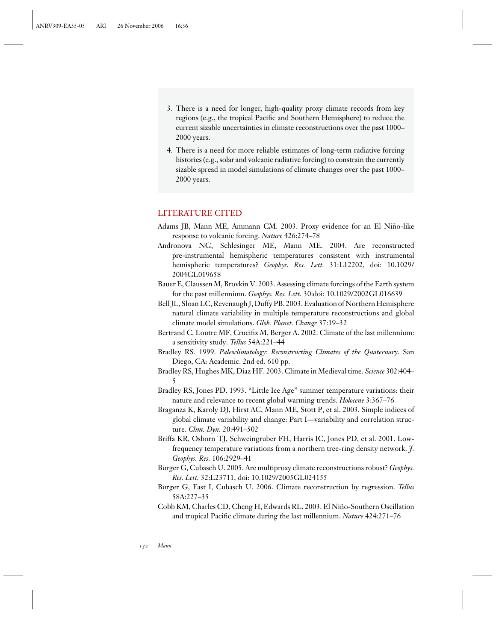- 3. There is a need for longer, high-quality proxy climate records from key regions (e.g., the tropical Pacific and Southern Hemisphere) to reduce the current sizable uncertainties in climate reconstructions over the past 1000– 2000 years.
- 4. There is a need for more reliable estimates of long-term radiative forcing histories (e.g., solar and volcanic radiative forcing) to constrain the currently sizable spread in model simulations of climate changes over the past 1000– 2000 years.

# LITERATURE CITED

- Adams JB, Mann ME, Ammann CM. 2003. Proxy evidence for an El Niño-like response to volcanic forcing. *Nature* 426:274–78
- Andronova NG, Schlesinger ME, Mann ME. 2004. Are reconstructed pre-instrumental hemispheric temperatures consistent with instrumental hemispheric temperatures? *Geophys. Res. Lett.* 31:L12202, doi: 10.1029/ 2004GL019658
- Bauer E, Claussen M, Brovkin V. 2003. Assessing climate forcings of the Earth system for the past millennium. *Geophys. Res. Lett.* 30:doi: 10.1029/2002GL016639
- Bell JL, Sloan LC, Revenaugh J, Duffy PB. 2003. Evaluation of Northern Hemisphere natural climate variability in multiple temperature reconstructions and global climate model simulations. *Glob. Planet. Change* 37:19–32
- Bertrand C, Loutre MF, Crucifix M, Berger A. 2002. Climate of the last millennium: a sensitivity study. *Tellus* 54A:221–44
- Bradley RS. 1999. *Paleoclimatology: Reconstructing Climates of the Quaternary*. San Diego, CA: Academic. 2nd ed. 610 pp.
- Bradley RS, Hughes MK, Diaz HF. 2003. Climate in Medieval time. *Science* 302:404– 5
- Bradley RS, Jones PD. 1993. "Little Ice Age" summer temperature variations: their nature and relevance to recent global warming trends. *Holocene* 3:367–76
- Braganza K, Karoly DJ, Hirst AC, Mann ME, Stott P, et al. 2003. Simple indices of global climate variability and change: Part I—variability and correlation structure. *Clim. Dyn.* 20:491–502
- Briffa KR, Osborn TJ, Schweingruber FH, Harris IC, Jones PD, et al. 2001. Lowfrequency temperature variations from a northern tree-ring density network. *J. Geophys. Res.* 106:2929–41
- Burger G, Cubasch U. 2005. Are multiproxy climate reconstructions robust? *Geophys. Res. Lett.* 32:L23711, doi: 10.1029/2005GL024155
- Burger G, Fast I, Cubasch U. 2006. Climate reconstruction by regression. *Tellus* 58A:227–35
- Cobb KM, Charles CD, Cheng H, Edwards RL. 2003. El Nino-Southern Oscillation ˜ and tropical Pacific climate during the last millennium. *Nature* 424:271–76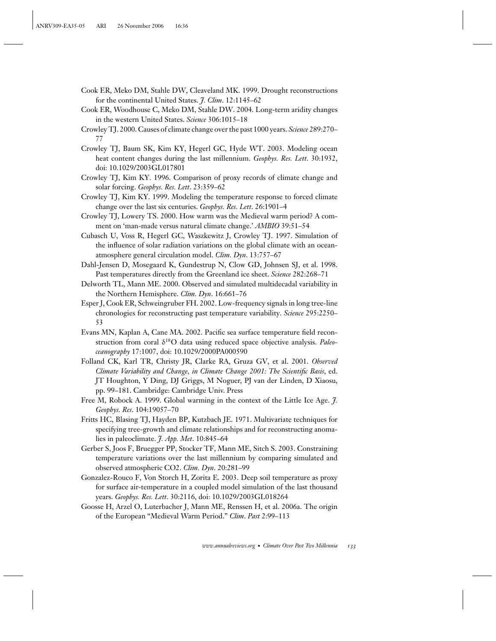- Cook ER, Meko DM, Stahle DW, Cleaveland MK. 1999. Drought reconstructions for the continental United States. *J. Clim*. 12:1145–62
- Cook ER, Woodhouse C, Meko DM, Stahle DW. 2004. Long-term aridity changes in the western United States. *Science* 306:1015–18
- Crowley TJ. 2000. Causes of climate change over the past 1000 years. *Science* 289:270– 77
- Crowley TJ, Baum SK, Kim KY, Hegerl GC, Hyde WT. 2003. Modeling ocean heat content changes during the last millennium. *Geophys. Res. Lett*. 30:1932, doi: 10.1029/2003GL017801
- Crowley TJ, Kim KY. 1996. Comparison of proxy records of climate change and solar forcing. *Geophys. Res. Lett*. 23:359–62
- Crowley TJ, Kim KY. 1999. Modeling the temperature response to forced climate change over the last six centuries. *Geophys. Res. Lett*. 26:1901–4
- Crowley TJ, Lowery TS. 2000. How warm was the Medieval warm period? A comment on 'man-made versus natural climate change.' *AMBIO* 39:51–54
- Cubasch U, Voss R, Hegerl GC, Waszkewitz J, Crowley TJ. 1997. Simulation of the influence of solar radiation variations on the global climate with an oceanatmosphere general circulation model. *Clim. Dyn*. 13:757–67
- Dahl-Jensen D, Mosegaard K, Gundestrup N, Clow GD, Johnsen SJ, et al. 1998. Past temperatures directly from the Greenland ice sheet. *Science* 282:268–71
- Delworth TL, Mann ME. 2000. Observed and simulated multidecadal variability in the Northern Hemisphere. *Clim. Dyn*. 16:661–76
- Esper J, Cook ER, Schweingruber FH. 2002. Low-frequency signals in long tree-line chronologies for reconstructing past temperature variability. *Science* 295:2250– 53
- Evans MN, Kaplan A, Cane MA. 2002. Pacific sea surface temperature field reconstruction from coral δ18O data using reduced space objective analysis. *Paleoceanography* 17:1007, doi: 10.1029/2000PA000590
- Folland CK, Karl TR, Christy JR, Clarke RA, Gruza GV, et al. 2001. *Observed Climate Variability and Change, in Climate Change 2001: The Scientific Basis*, ed. JT Houghton, Y Ding, DJ Griggs, M Noguer, PJ van der Linden, D Xiaosu, pp. 99–181. Cambridge: Cambridge Univ. Press
- Free M, Robock A. 1999. Global warming in the context of the Little Ice Age. *J. Geophys. Res*. 104:19057–70
- Fritts HC, Blasing TJ, Hayden BP, Kutzbach JE. 1971. Multivariate techniques for specifying tree-growth and climate relationships and for reconstructing anomalies in paleoclimate. *J. App. Met*. 10:845–64
- Gerber S, Joos F, Bruegger PP, Stocker TF, Mann ME, Sitch S. 2003. Constraining temperature variations over the last millennium by comparing simulated and observed atmospheric CO2. *Clim. Dyn*. 20:281–99
- Gonzalez-Rouco F, Von Storch H, Zorita E. 2003. Deep soil temperature as proxy for surface air-temperature in a coupled model simulation of the last thousand years. *Geophys. Res. Lett*. 30:2116, doi: 10.1029/2003GL018264
- Goosse H, Arzel O, Luterbacher J, Mann ME, Renssen H, et al. 2006a. The origin of the European "Medieval Warm Period." *Clim*. *Past* 2:99–113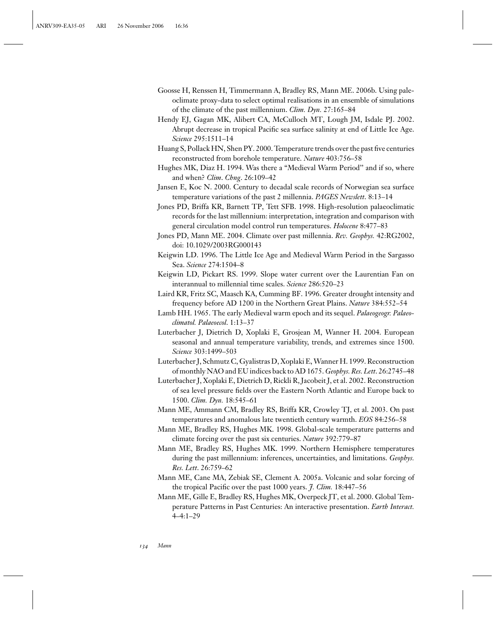- Goosse H, Renssen H, Timmermann A, Bradley RS, Mann ME. 2006b. Using paleoclimate proxy-data to select optimal realisations in an ensemble of simulations of the climate of the past millennium. *Clim. Dyn.* 27:165–84
- Hendy EJ, Gagan MK, Alibert CA, McCulloch MT, Lough JM, Isdale PJ. 2002. Abrupt decrease in tropical Pacific sea surface salinity at end of Little Ice Age. *Science* 295:1511–14
- Huang S, Pollack HN, Shen PY. 2000. Temperature trends over the past five centuries reconstructed from borehole temperature. *Nature* 403:756–58
- Hughes MK, Diaz H. 1994. Was there a "Medieval Warm Period'' and if so, where and when? *Clim*. *Chng*. 26:109–42
- Jansen E, Koc N. 2000. Century to decadal scale records of Norwegian sea surface temperature variations of the past 2 millennia. *PAGES Newslett*. 8:13–14
- Jones PD, Briffa KR, Barnett TP, Tett SFB. 1998. High-resolution palaeoclimatic records for the last millennium: interpretation, integration and comparison with general circulation model control run temperatures. *Holocene* 8:477–83
- Jones PD, Mann ME. 2004. Climate over past millennia. *Rev. Geophys.* 42:RG2002, doi: 10.1029/2003RG000143
- Keigwin LD. 1996. The Little Ice Age and Medieval Warm Period in the Sargasso Sea. *Science* 274:1504–8
- Keigwin LD, Pickart RS. 1999. Slope water current over the Laurentian Fan on interannual to millennial time scales. *Science* 286:520–23
- Laird KR, Fritz SC, Maasch KA, Cumming BF. 1996. Greater drought intensity and frequency before AD 1200 in the Northern Great Plains. *Nature* 384:552–54
- Lamb HH. 1965. The early Medieval warm epoch and its sequel. *Palaeogeogr. Palaeoclimatol. Palaeoecol*. 1:13–37
- Luterbacher J, Dietrich D, Xoplaki E, Grosjean M, Wanner H. 2004. European seasonal and annual temperature variability, trends, and extremes since 1500. *Science* 303:1499–503
- Luterbacher J, Schmutz C, Gyalistras D, Xoplaki E, Wanner H. 1999. Reconstruction of monthly NAO and EU indices back to AD 1675. *Geophys. Res. Lett*. 26:2745–48
- Luterbacher J, Xoplaki E, Dietrich D, Rickli R, Jacobeit J, et al. 2002. Reconstruction of sea level pressure fields over the Eastern North Atlantic and Europe back to 1500. *Clim. Dyn.* 18:545–61
- Mann ME, Ammann CM, Bradley RS, Briffa KR, Crowley TJ, et al. 2003. On past temperatures and anomalous late twentieth century warmth. *EOS* 84:256–58
- Mann ME, Bradley RS, Hughes MK. 1998. Global-scale temperature patterns and climate forcing over the past six centuries. *Nature* 392:779–87
- Mann ME, Bradley RS, Hughes MK. 1999. Northern Hemisphere temperatures during the past millennium: inferences, uncertainties, and limitations. *Geophys. Res. Lett*. 26:759–62
- Mann ME, Cane MA, Zebiak SE, Clement A. 2005a. Volcanic and solar forcing of the tropical Pacific over the past 1000 years. *J. Clim.* 18:447–56
- Mann ME, Gille E, Bradley RS, Hughes MK, Overpeck JT, et al. 2000. Global Temperature Patterns in Past Centuries: An interactive presentation. *Earth Interact.* 4–4:1–29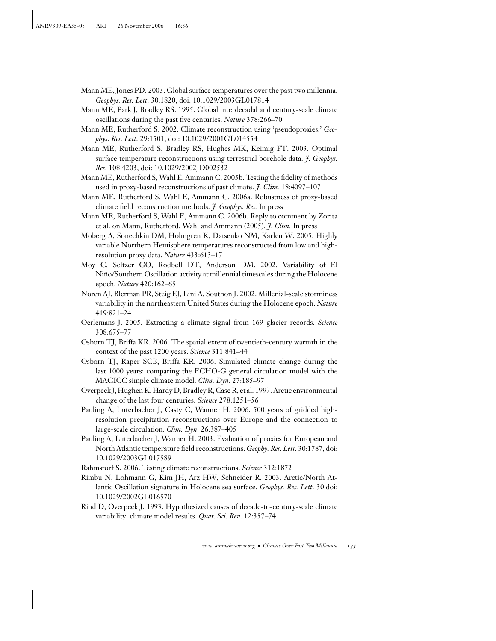- Mann ME, Jones PD. 2003. Global surface temperatures over the past two millennia. *Geophys. Res. Lett*. 30:1820, doi: 10.1029/2003GL017814
- Mann ME, Park J, Bradley RS. 1995. Global interdecadal and century-scale climate oscillations during the past five centuries. *Nature* 378:266–70
- Mann ME, Rutherford S. 2002. Climate reconstruction using 'pseudoproxies.' *Geophys*. *Res. Lett*. 29:1501, doi: 10.1029/2001GL014554
- Mann ME, Rutherford S, Bradley RS, Hughes MK, Keimig FT. 2003. Optimal surface temperature reconstructions using terrestrial borehole data. *J. Geophys. Res*. 108:4203, doi: 10.1029/2002JD002532
- Mann ME, Rutherford S, Wahl E, Ammann C. 2005b. Testing the fidelity of methods used in proxy-based reconstructions of past climate. *J. Clim.* 18:4097–107
- Mann ME, Rutherford S, Wahl E, Ammann C. 2006a. Robustness of proxy-based climate field reconstruction methods. *J. Geophys. Res.* In press
- Mann ME, Rutherford S, Wahl E, Ammann C. 2006b. Reply to comment by Zorita et al. on Mann, Rutherford, Wahl and Ammann (2005). *J. Clim.* In press
- Moberg A, Sonechkin DM, Holmgren K, Datsenko NM, Karlen W. 2005. Highly variable Northern Hemisphere temperatures reconstructed from low and highresolution proxy data. *Nature* 433:613–17
- Moy C, Seltzer GO, Rodbell DT, Anderson DM. 2002. Variability of El Niño/Southern Oscillation activity at millennial timescales during the Holocene epoch. *Nature* 420:162–65
- Noren AJ, Blerman PR, Steig EJ, Lini A, Southon J. 2002. Millenial-scale storminess variability in the northeastern United States during the Holocene epoch. *Nature* 419:821–24
- Oerlemans J. 2005. Extracting a climate signal from 169 glacier records. *Science* 308:675–77
- Osborn TJ, Briffa KR. 2006. The spatial extent of twentieth-century warmth in the context of the past 1200 years. *Science* 311:841–44
- Osborn TJ, Raper SCB, Briffa KR. 2006. Simulated climate change during the last 1000 years: comparing the ECHO-G general circulation model with the MAGICC simple climate model. *Clim. Dyn*. 27:185–97
- Overpeck J, Hughen K, Hardy D, Bradley R, Case R, et al. 1997. Arctic environmental change of the last four centuries. *Science* 278:1251–56
- Pauling A, Luterbacher J, Casty C, Wanner H. 2006. 500 years of gridded highresolution precipitation reconstructions over Europe and the connection to large-scale circulation. *Clim. Dyn*. 26:387–405
- Pauling A, Luterbacher J, Wanner H. 2003. Evaluation of proxies for European and North Atlantic temperature field reconstructions. *Geophy. Res. Lett*. 30:1787, doi: 10.1029/2003GL017589
- Rahmstorf S. 2006. Testing climate reconstructions. *Science* 312:1872
- Rimbu N, Lohmann G, Kim JH, Arz HW, Schneider R. 2003. Arctic/North Atlantic Oscillation signature in Holocene sea surface. *Geophys. Res. Lett*. 30:doi: 10.1029/2002GL016570
- Rind D, Overpeck J. 1993. Hypothesized causes of decade-to-century-scale climate variability: climate model results. *Quat. Sci. Rev*. 12:357–74